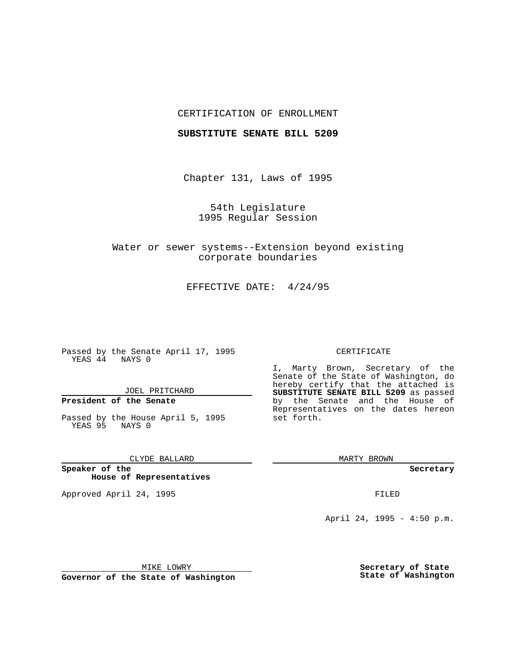## CERTIFICATION OF ENROLLMENT

### **SUBSTITUTE SENATE BILL 5209**

Chapter 131, Laws of 1995

54th Legislature 1995 Regular Session

Water or sewer systems--Extension beyond existing corporate boundaries

EFFECTIVE DATE: 4/24/95

Passed by the Senate April 17, 1995 YEAS 44 NAYS 0

JOEL PRITCHARD

# **President of the Senate**

Passed by the House April 5, 1995 YEAS 95 NAYS 0

CLYDE BALLARD

**Speaker of the House of Representatives**

Approved April 24, 1995 FILED

#### CERTIFICATE

I, Marty Brown, Secretary of the Senate of the State of Washington, do hereby certify that the attached is **SUBSTITUTE SENATE BILL 5209** as passed by the Senate and the House of Representatives on the dates hereon set forth.

MARTY BROWN

**Secretary**

April 24, 1995 - 4:50 p.m.

MIKE LOWRY

**Governor of the State of Washington**

**Secretary of State State of Washington**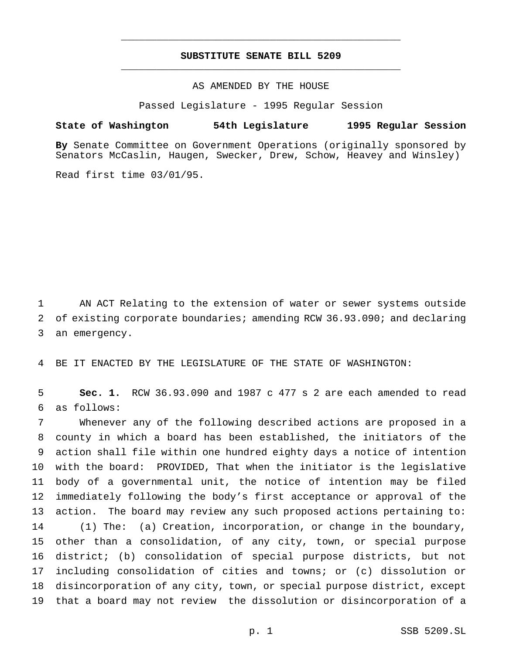## **SUBSTITUTE SENATE BILL 5209** \_\_\_\_\_\_\_\_\_\_\_\_\_\_\_\_\_\_\_\_\_\_\_\_\_\_\_\_\_\_\_\_\_\_\_\_\_\_\_\_\_\_\_\_\_\_\_

\_\_\_\_\_\_\_\_\_\_\_\_\_\_\_\_\_\_\_\_\_\_\_\_\_\_\_\_\_\_\_\_\_\_\_\_\_\_\_\_\_\_\_\_\_\_\_

AS AMENDED BY THE HOUSE

Passed Legislature - 1995 Regular Session

### **State of Washington 54th Legislature 1995 Regular Session**

**By** Senate Committee on Government Operations (originally sponsored by Senators McCaslin, Haugen, Swecker, Drew, Schow, Heavey and Winsley)

Read first time 03/01/95.

 AN ACT Relating to the extension of water or sewer systems outside of existing corporate boundaries; amending RCW 36.93.090; and declaring an emergency.

BE IT ENACTED BY THE LEGISLATURE OF THE STATE OF WASHINGTON:

 **Sec. 1.** RCW 36.93.090 and 1987 c 477 s 2 are each amended to read as follows:

 Whenever any of the following described actions are proposed in a county in which a board has been established, the initiators of the action shall file within one hundred eighty days a notice of intention with the board: PROVIDED, That when the initiator is the legislative body of a governmental unit, the notice of intention may be filed immediately following the body's first acceptance or approval of the action. The board may review any such proposed actions pertaining to: (1) The: (a) Creation, incorporation, or change in the boundary, other than a consolidation, of any city, town, or special purpose district; (b) consolidation of special purpose districts, but not including consolidation of cities and towns; or (c) dissolution or disincorporation of any city, town, or special purpose district, except that a board may not review the dissolution or disincorporation of a